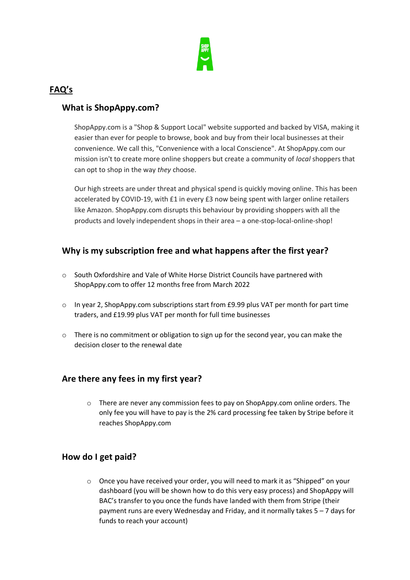

## **FAQ's**

### **What is ShopAppy.com?**

ShopAppy.com is a "Shop & Support Local" website supported and backed by VISA, making it easier than ever for people to browse, book and buy from their local businesses at their convenience. We call this, "Convenience with a local Conscience". At ShopAppy.com our mission isn't to create more online shoppers but create a community of *local* shoppers that can opt to shop in the way *they* choose.

Our high streets are under threat and physical spend is quickly moving online. This has been accelerated by COVID-19, with £1 in every £3 now being spent with larger online retailers like Amazon. ShopAppy.com disrupts this behaviour by providing shoppers with all the products and lovely independent shops in their area – a one-stop-local-online-shop!

### **Why is my subscription free and what happens after the first year?**

- o South Oxfordshire and Vale of White Horse District Councils have partnered with ShopAppy.com to offer 12 months free from March 2022
- o In year 2, ShopAppy.com subscriptions start from £9.99 plus VAT per month for part time traders, and £19.99 plus VAT per month for full time businesses
- o There is no commitment or obligation to sign up for the second year, you can make the decision closer to the renewal date

### **Are there any fees in my first year?**

 $\circ$  There are never any commission fees to pay on ShopAppy.com online orders. The only fee you will have to pay is the 2% card processing fee taken by Stripe before it reaches ShopAppy.com

### **How do I get paid?**

 $\circ$  Once you have received your order, you will need to mark it as "Shipped" on your dashboard (you will be shown how to do this very easy process) and ShopAppy will BAC's transfer to you once the funds have landed with them from Stripe (their payment runs are every Wednesday and Friday, and it normally takes 5 – 7 days for funds to reach your account)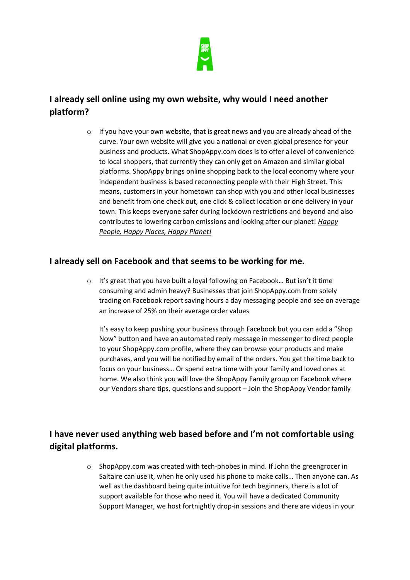

# **I already sell online using my own website, why would I need another platform?**

o If you have your own website, that is great news and you are already ahead of the curve. Your own website will give you a national or even global presence for your business and products. What ShopAppy.com does is to offer a level of convenience to local shoppers, that currently they can only get on Amazon and similar global platforms. ShopAppy brings online shopping back to the local economy where your independent business is based reconnecting people with their High Street. This means, customers in your hometown can shop with you and other local businesses and benefit from one check out, one click & collect location or one delivery in your town. This keeps everyone safer during lockdown restrictions and beyond and also contributes to lowering carbon emissions and looking after our planet! *Happy People, Happy Places, Happy Planet!*

### **I already sell on Facebook and that seems to be working for me.**

o It's great that you have built a loyal following on Facebook… But isn't it time consuming and admin heavy? Businesses that join ShopAppy.com from solely trading on Facebook report saving hours a day messaging people and see on average an increase of 25% on their average order values

It's easy to keep pushing your business through Facebook but you can add a "Shop Now" button and have an automated reply message in messenger to direct people to your ShopAppy.com profile, where they can browse your products and make purchases, and you will be notified by email of the orders. You get the time back to focus on your business… Or spend extra time with your family and loved ones at home. We also think you will love the ShopAppy Family group on Facebook where our Vendors share tips, questions and support – Join the ShopAppy Vendor family

# **I have never used anything web based before and I'm not comfortable using digital platforms.**

 $\circ$  ShopAppy.com was created with tech-phobes in mind. If John the greengrocer in Saltaire can use it, when he only used his phone to make calls… Then anyone can. As well as the dashboard being quite intuitive for tech beginners, there is a lot of support available for those who need it. You will have a dedicated Community Support Manager, we host fortnightly drop-in sessions and there are videos in your